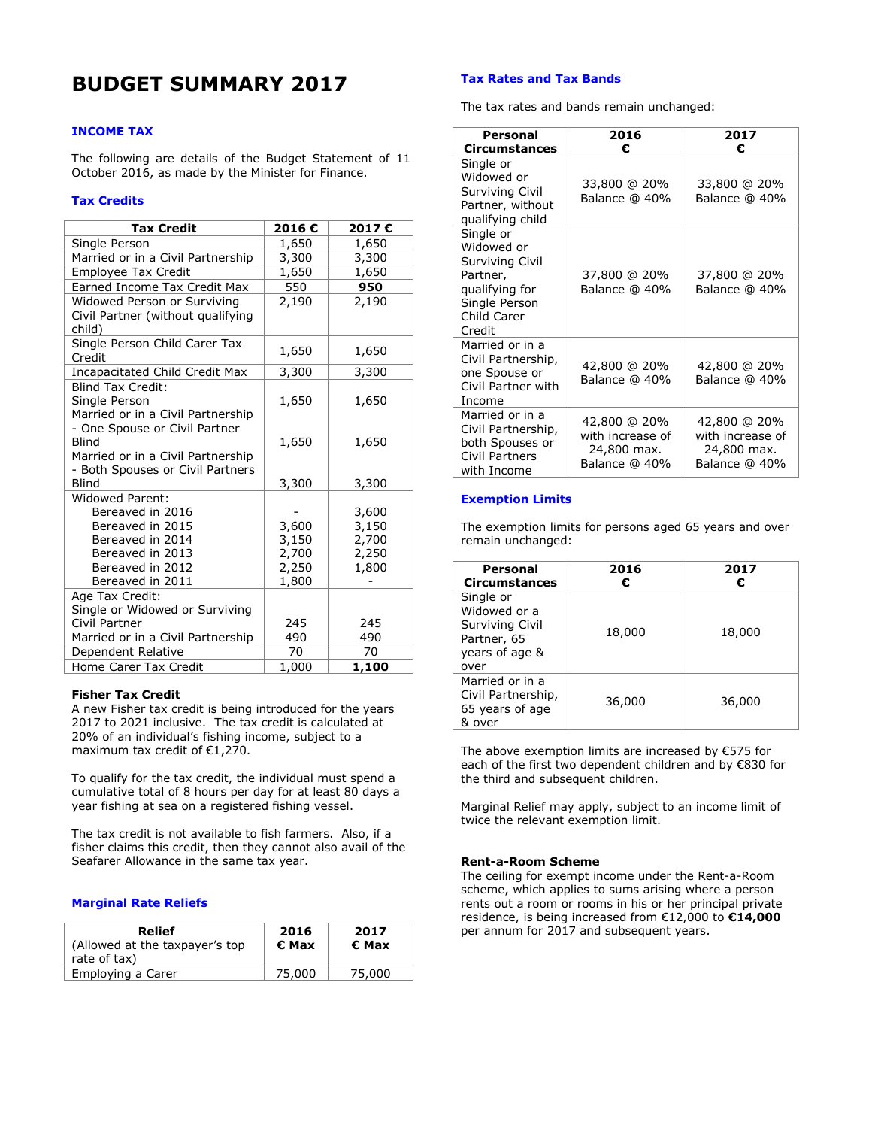# **BUDGET SUMMARY 2017**

# **INCOME TAX**

The following are details of the Budget Statement of 11 October 2016, as made by the Minister for Finance.

# **Tax Credits**

| <b>Tax Credit</b>                                                                                                                              | 2016€                                     | 2017€                                     |
|------------------------------------------------------------------------------------------------------------------------------------------------|-------------------------------------------|-------------------------------------------|
| Single Person                                                                                                                                  | 1,650                                     | 1,650                                     |
| Married or in a Civil Partnership                                                                                                              | 3,300                                     | 3,300                                     |
| <b>Employee Tax Credit</b>                                                                                                                     | 1,650                                     | 1,650                                     |
| Earned Income Tax Credit Max                                                                                                                   | 550                                       | 950                                       |
| Widowed Person or Surviving<br>Civil Partner (without qualifying<br>child)                                                                     | 2,190                                     | 2,190                                     |
| Single Person Child Carer Tax<br>Credit                                                                                                        | 1,650                                     | 1,650                                     |
| Incapacitated Child Credit Max                                                                                                                 | 3,300                                     | 3,300                                     |
| <b>Blind Tax Credit:</b><br>Single Person<br>Married or in a Civil Partnership                                                                 | 1,650                                     | 1,650                                     |
| - One Spouse or Civil Partner<br>Blind<br>Married or in a Civil Partnership<br>- Both Spouses or Civil Partners                                | 1,650                                     | 1,650                                     |
| Blind                                                                                                                                          | 3,300                                     | 3,300                                     |
| <b>Widowed Parent:</b><br>Bereaved in 2016<br>Bereaved in 2015<br>Bereaved in 2014<br>Bereaved in 2013<br>Bereaved in 2012<br>Bereaved in 2011 | 3,600<br>3,150<br>2,700<br>2,250<br>1,800 | 3,600<br>3,150<br>2,700<br>2,250<br>1,800 |
| Age Tax Credit:<br>Single or Widowed or Surviving<br>Civil Partner<br>Married or in a Civil Partnership                                        | 245<br>490                                | 245<br>490                                |
| Dependent Relative                                                                                                                             | 70                                        | 70                                        |
| Home Carer Tax Credit                                                                                                                          | 1,000                                     | 1,100                                     |

### **Fisher Tax Credit**

A new Fisher tax credit is being introduced for the years 2017 to 2021 inclusive. The tax credit is calculated at 20% of an individual's fishing income, subject to a maximum tax credit of  $£1,270.$ 

To qualify for the tax credit, the individual must spend a cumulative total of 8 hours per day for at least 80 days a year fishing at sea on a registered fishing vessel.

The tax credit is not available to fish farmers. Also, if a fisher claims this credit, then they cannot also avail of the Seafarer Allowance in the same tax year.

# **Marginal Rate Reliefs**

| Relief                                         | 2016   | 2017   |
|------------------------------------------------|--------|--------|
| (Allowed at the taxpayer's top<br>rate of tax) | € Max  | € Max  |
| Employing a Carer                              | 75,000 | 75,000 |

## **Tax Rates and Tax Bands**

The tax rates and bands remain unchanged:

| Personal<br><b>Circumstances</b>                                                                                   | 2016<br>€                                                        | 2017<br>€                                                        |
|--------------------------------------------------------------------------------------------------------------------|------------------------------------------------------------------|------------------------------------------------------------------|
| Single or<br>Widowed or<br>Surviving Civil<br>Partner, without<br>qualifying child                                 | 33,800 @ 20%<br>Balance @ 40%                                    | 33,800 @ 20%<br>Balance @ 40%                                    |
| Single or<br>Widowed or<br>Surviving Civil<br>Partner,<br>qualifying for<br>Single Person<br>Child Carer<br>Credit | 37,800 @ 20%<br>Balance @ 40%                                    | 37,800 @ 20%<br>Balance @ 40%                                    |
| Married or in a<br>Civil Partnership,<br>one Spouse or<br>Civil Partner with<br>Income                             | 42,800 @ 20%<br>Balance @ 40%                                    | 42,800 @ 20%<br>Balance @ 40%                                    |
| Married or in a<br>Civil Partnership,<br>both Spouses or<br>Civil Partners<br>with Income                          | 42,800 @ 20%<br>with increase of<br>24,800 max.<br>Balance @ 40% | 42,800 @ 20%<br>with increase of<br>24,800 max.<br>Balance @ 40% |

#### **Exemption Limits**

The exemption limits for persons aged 65 years and over remain unchanged:

| Personal<br><b>Circumstances</b>                                                      | 2016<br>€ | 2017<br>€ |
|---------------------------------------------------------------------------------------|-----------|-----------|
| Single or<br>Widowed or a<br>Surviving Civil<br>Partner, 65<br>years of age &<br>over | 18,000    | 18,000    |
| Married or in a<br>Civil Partnership,<br>65 years of age<br>& over                    | 36,000    | 36,000    |

The above exemption limits are increased by €575 for each of the first two dependent children and by €830 for the third and subsequent children.

Marginal Relief may apply, subject to an income limit of twice the relevant exemption limit.

#### **Rent-a-Room Scheme**

The ceiling for exempt income under the Rent-a-Room scheme, which applies to sums arising where a person rents out a room or rooms in his or her principal private residence, is being increased from €12,000 to **€14,000** per annum for 2017 and subsequent years.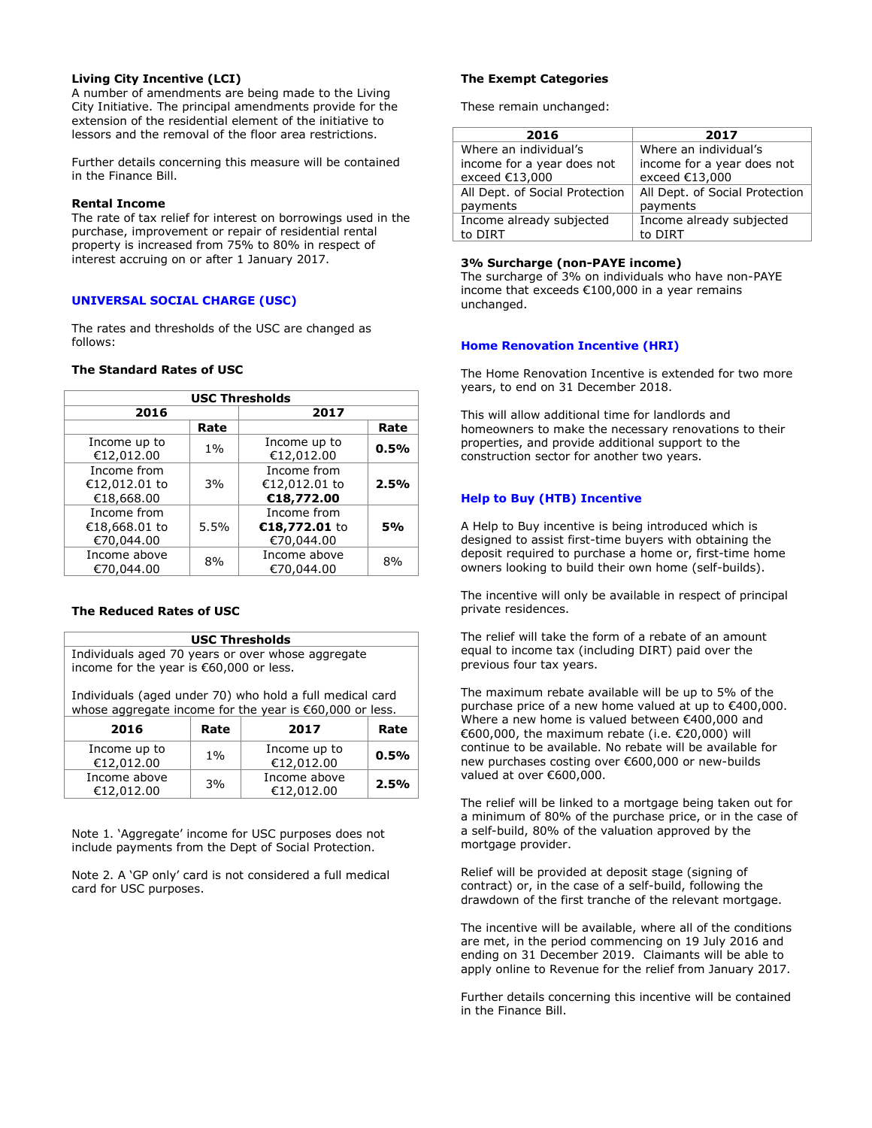# **Living City Incentive (LCI)**

A number of amendments are being made to the Living City Initiative. The principal amendments provide for the extension of the residential element of the initiative to lessors and the removal of the floor area restrictions.

Further details concerning this measure will be contained in the Finance Bill.

# **Rental Income**

The rate of tax relief for interest on borrowings used in the purchase, improvement or repair of residential rental property is increased from 75% to 80% in respect of interest accruing on or after 1 January 2017.

### **UNIVERSAL SOCIAL CHARGE (USC)**

The rates and thresholds of the USC are changed as follows:

# **The Standard Rates of USC**

| <b>USC Thresholds</b>                      |       |                                            |      |
|--------------------------------------------|-------|--------------------------------------------|------|
| 2016                                       |       | 2017                                       |      |
|                                            | Rate  |                                            | Rate |
| Income up to<br>€12,012.00                 | $1\%$ | Income up to<br>€12,012.00                 | 0.5% |
| Income from<br>€12,012.01 to<br>€18,668.00 | 3%    | Income from<br>€12,012.01 to<br>€18,772.00 | 2.5% |
| Income from<br>€18,668.01 to<br>€70,044.00 | 5.5%  | Income from<br>€18,772.01 to<br>€70,044.00 | 5%   |
| Income above<br>€70,044.00                 | 8%    | Income above<br>€70,044.00                 | 8%   |

# **The Reduced Rates of USC**

| <b>USC Thresholds</b>                                                                        |
|----------------------------------------------------------------------------------------------|
| Individuals aged 70 years or over whose aggregate<br>income for the year is €60,000 or less. |
| Individuals (aged under 70) who hold a full medical card                                     |

whose aggregate income for the year is €60,000 or less.

| 2016                       | Rate  | 2017                       | Rate |
|----------------------------|-------|----------------------------|------|
| Income up to<br>€12,012.00 | $1\%$ | Income up to<br>€12,012.00 | 0.5% |
| Income above<br>€12.012.00 | 3%    | Income above<br>€12,012.00 | 2.5% |

Note 1. 'Aggregate' income for USC purposes does not include payments from the Dept of Social Protection.

Note 2. A 'GP only' card is not considered a full medical card for USC purposes.

# **The Exempt Categories**

These remain unchanged:

| 2016                           | 2017                           |
|--------------------------------|--------------------------------|
| Where an individual's          | Where an individual's          |
| income for a year does not     | income for a year does not     |
| exceed €13,000                 | exceed €13,000                 |
| All Dept. of Social Protection | All Dept. of Social Protection |
| payments                       | payments                       |
| Income already subjected       | Income already subjected       |
| to DIRT                        | to DIRT                        |

#### **3% Surcharge (non-PAYE income)**

The surcharge of 3% on individuals who have non-PAYE income that exceeds €100,000 in a year remains unchanged.

# **Home Renovation Incentive (HRI)**

The Home Renovation Incentive is extended for two more years, to end on 31 December 2018.

This will allow additional time for landlords and homeowners to make the necessary renovations to their properties, and provide additional support to the construction sector for another two years.

### **Help to Buy (HTB) Incentive**

A Help to Buy incentive is being introduced which is designed to assist first-time buyers with obtaining the deposit required to purchase a home or, first-time home owners looking to build their own home (self-builds).

The incentive will only be available in respect of principal private residences.

The relief will take the form of a rebate of an amount equal to income tax (including DIRT) paid over the previous four tax years.

The maximum rebate available will be up to 5% of the purchase price of a new home valued at up to €400,000. Where a new home is valued between €400,000 and €600,000, the maximum rebate (i.e.  $€20,000$ ) will continue to be available. No rebate will be available for new purchases costing over €600,000 or new-builds valued at over €600,000.

The relief will be linked to a mortgage being taken out for a minimum of 80% of the purchase price, or in the case of a self-build, 80% of the valuation approved by the mortgage provider.

Relief will be provided at deposit stage (signing of contract) or, in the case of a self-build, following the drawdown of the first tranche of the relevant mortgage.

The incentive will be available, where all of the conditions are met, in the period commencing on 19 July 2016 and ending on 31 December 2019. Claimants will be able to apply online to Revenue for the relief from January 2017.

Further details concerning this incentive will be contained in the Finance Bill.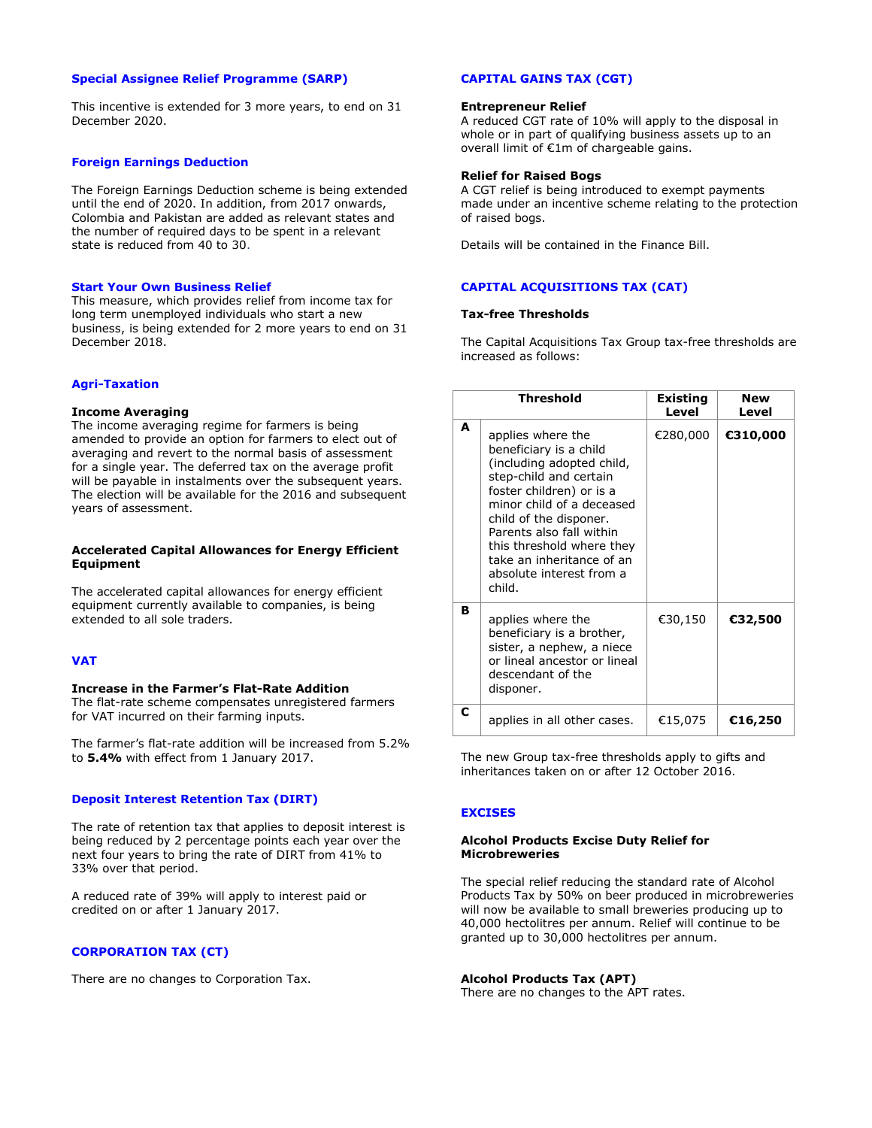# **Special Assignee Relief Programme (SARP)**

This incentive is extended for 3 more years, to end on 31 December 2020.

#### **Foreign Earnings Deduction**

The Foreign Earnings Deduction scheme is being extended until the end of 2020. In addition, from 2017 onwards, Colombia and Pakistan are added as relevant states and the number of required days to be spent in a relevant state is reduced from 40 to 30.

#### **Start Your Own Business Relief**

This measure, which provides relief from income tax for long term unemployed individuals who start a new business, is being extended for 2 more years to end on 31 December 2018.

## **Agri-Taxation**

### **Income Averaging**

The income averaging regime for farmers is being amended to provide an option for farmers to elect out of averaging and revert to the normal basis of assessment for a single year. The deferred tax on the average profit will be payable in instalments over the subsequent years. The election will be available for the 2016 and subsequent years of assessment.

### **Accelerated Capital Allowances for Energy Efficient Equipment**

The accelerated capital allowances for energy efficient equipment currently available to companies, is being extended to all sole traders.

## **VAT**

# **Increase in the Farmer's Flat-Rate Addition**

The flat-rate scheme compensates unregistered farmers for VAT incurred on their farming inputs.

The farmer's flat-rate addition will be increased from 5.2% to **5.4%** with effect from 1 January 2017.

# **Deposit Interest Retention Tax (DIRT)**

The rate of retention tax that applies to deposit interest is being reduced by 2 percentage points each year over the next four years to bring the rate of DIRT from 41% to 33% over that period.

A reduced rate of 39% will apply to interest paid or credited on or after 1 January 2017.

# **CORPORATION TAX (CT)**

There are no changes to Corporation Tax.

# **CAPITAL GAINS TAX (CGT)**

#### **Entrepreneur Relief**

A reduced CGT rate of 10% will apply to the disposal in whole or in part of qualifying business assets up to an overall limit of €1m of chargeable gains.

#### **Relief for Raised Bogs**

A CGT relief is being introduced to exempt payments made under an incentive scheme relating to the protection of raised bogs.

Details will be contained in the Finance Bill.

# **CAPITAL ACQUISITIONS TAX (CAT)**

### **Tax-free Thresholds**

The Capital Acquisitions Tax Group tax-free thresholds are increased as follows:

|   | <b>Threshold</b>                                                                                                                                                                                                                                                                                                  | Existing<br>Level | New<br>Level |
|---|-------------------------------------------------------------------------------------------------------------------------------------------------------------------------------------------------------------------------------------------------------------------------------------------------------------------|-------------------|--------------|
| A | applies where the<br>beneficiary is a child<br>(including adopted child,<br>step-child and certain<br>foster children) or is a<br>minor child of a deceased<br>child of the disponer.<br>Parents also fall within<br>this threshold where they<br>take an inheritance of an<br>absolute interest from a<br>child. | €280,000          | €310,000     |
| в | applies where the<br>beneficiary is a brother,<br>sister, a nephew, a niece<br>or lineal ancestor or lineal<br>descendant of the<br>disponer.                                                                                                                                                                     | €30,150           | €32,500      |
| c | applies in all other cases.                                                                                                                                                                                                                                                                                       | €15,075           | €16,250      |

The new Group tax-free thresholds apply to gifts and inheritances taken on or after 12 October 2016.

# **EXCISES**

#### **Alcohol Products Excise Duty Relief for Microbreweries**

The special relief reducing the standard rate of Alcohol Products Tax by 50% on beer produced in microbreweries will now be available to small breweries producing up to 40,000 hectolitres per annum. Relief will continue to be granted up to 30,000 hectolitres per annum.

#### **Alcohol Products Tax (APT)**

There are no changes to the APT rates.